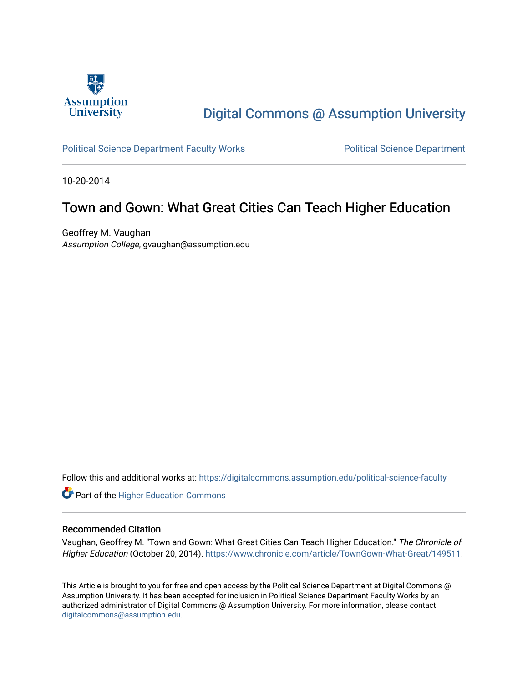

# [Digital Commons @ Assumption University](https://digitalcommons.assumption.edu/)

### [Political Science Department Faculty Works](https://digitalcommons.assumption.edu/political-science-faculty) **Political Science Department**

10-20-2014

## Town and Gown: What Great Cities Can Teach Higher Education

Geoffrey M. Vaughan Assumption College, gvaughan@assumption.edu

Follow this and additional works at: [https://digitalcommons.assumption.edu/political-science-faculty](https://digitalcommons.assumption.edu/political-science-faculty?utm_source=digitalcommons.assumption.edu%2Fpolitical-science-faculty%2F34&utm_medium=PDF&utm_campaign=PDFCoverPages)

**Part of the Higher Education Commons** 

### Recommended Citation

Vaughan, Geoffrey M. "Town and Gown: What Great Cities Can Teach Higher Education." The Chronicle of Higher Education (October 20, 2014). [https://www.chronicle.com/article/TownGown-What-Great/149511.](https://www.chronicle.com/article/TownGown-What-Great/149511)

This Article is brought to you for free and open access by the Political Science Department at Digital Commons @ Assumption University. It has been accepted for inclusion in Political Science Department Faculty Works by an authorized administrator of Digital Commons @ Assumption University. For more information, please contact [digitalcommons@assumption.edu](mailto:digitalcommons@assumption.edu).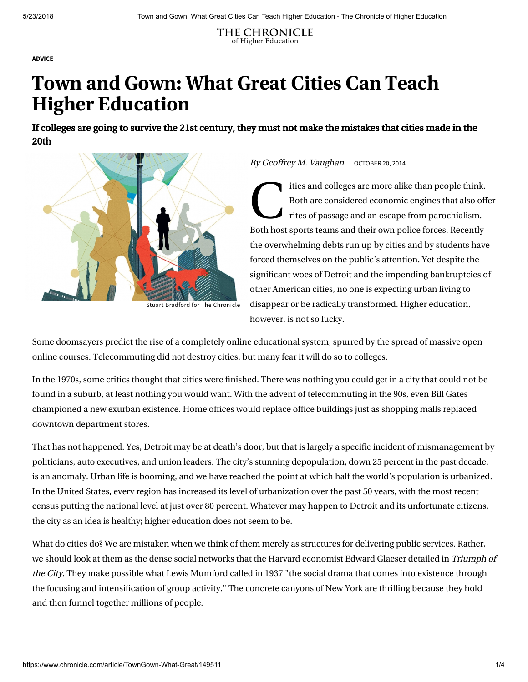THE CHRONICLE of Higher Education

[ADVICE](https://www.chronicle.com/section/Advice/66)

# Town and Gown: What Great Cities Can Teach Higher Education

If colleges are going to survive the 21st century, they must not make the mistakes that cities made in the 20th



By Geoffrey M. Vaughan  $\vert$  october 20, 2014

ties a<br>Both a<br>Path hast marte ities and colleges are more alike than people think. Both are considered economic engines that also offer rites of passage and an escape from parochialism. Both host sports teams and their own police forces. Recently the overwhelming debts run up by cities and by students have forced themselves on the public's attention. Yet despite the significant woes of Detroit and the impending bankruptcies of other American cities, no one is expecting urban living to disappear or be radically transformed. Higher education, however, is not so lucky.

Some [doomsayers](http://www.the-american-interest.com/articles/2012/12/11/the-end-of-the-university-as-we-know-it/) predict the rise of a completely online educational system, spurred by the spread of massive open online courses. Telecommuting did not destroy cities, but many fear it will do so to colleges.

In the 1970s, some critics thought that cities were finished. There was nothing you could get in a city that could not be [found in a suburb, at least nothing you would want. With the advent of telecommuting in the 90s, even Bill Gates](http://community.seattletimes.nwsource.com/archive/?date=19951129&slug=2155175) championed a new exurban existence. Home offices would replace office buildings just as shopping malls replaced downtown department stores.

That has not happened. Yes, Detroit may be at death's door, but that is largely a specific incident of mismanagement by politicians, auto executives, and union leaders. The city's stunning depopulation, [down 25 percent](http://www.nytimes.com/2011/03/23/us/23detroit.html) in the past decade, is an anomaly. Urban life is booming, and we have reached the point at which [half the world's population](http://www.who.int/gho/urban_health/situation_trends/urban_population_growth_text/en/) is urbanized. In the United States, every region has increased its level of urbanization over the past 50 years, with the most recent census putting the national level at [just over 80 percent.](https://www.census.gov/newsroom/releases/archives/2010_census/cb12-50.html) Whatever may happen to Detroit and its unfortunate citizens, the city as an idea is healthy; higher education does not seem to be.

What do cities do? We are mistaken when we think of them merely as structures for delivering public services. Rather, we should look at them as the dense social networks that the Harvard economist Edward Glaeser detailed in Triumph of the City. They make possible what Lewis Mumford called in 1937 "the social drama that comes into existence through the focusing and intensification of group activity." The concrete canyons of New York are thrilling because they hold and then funnel together millions of people.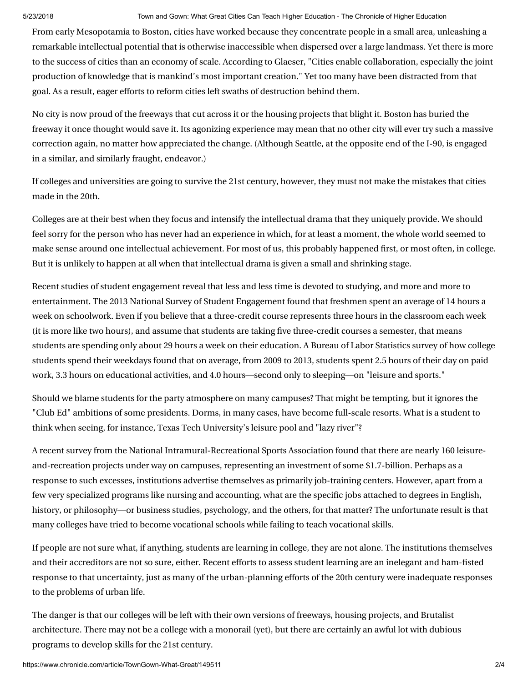### 5/23/2018 Town and Gown: What Great Cities Can Teach Higher Education - The Chronicle of Higher Education

From early Mesopotamia to Boston, cities have worked because they concentrate people in a small area, unleashing a remarkable intellectual potential that is otherwise inaccessible when dispersed over a large landmass. Yet there is more to the success of cities than an economy of scale. According to Glaeser, "Cities enable collaboration, especially the joint production of knowledge that is mankind's most important creation." Yet too many have been distracted from that goal. As a result, eager efforts to reform cities left swaths of destruction behind them.

No city is now proud of the freeways that cut across it or the housing projects that blight it. Boston has buried the freeway it once thought would save it. Its agonizing experience may mean that no other city will ever try such a massive correction again, no matter how appreciated the change. (Although Seattle, at the opposite end of the I-90, is engaged in a similar, and similarly fraught, endeavor.)

If colleges and universities are going to survive the 21st century, however, they must not make the mistakes that cities made in the 20th.

Colleges are at their best when they focus and intensify the intellectual drama that they uniquely provide. We should feel sorry for the person who has never had an experience in which, for at least a moment, the whole world seemed to make sense around one intellectual achievement. For most of us, this probably happened first, or most often, in college. But it is unlikely to happen at all when that intellectual drama is given a small and shrinking stage.

Recent studies of student engagement reveal that less and less time is devoted to studying, and more and more to [entertainment. The 2013 National Survey of Student Engagement found that freshmen spent an average of 14 hours a](http://nsse.iub.edu/NSSE_2013_Results/pdf/NSSE_2013_Annual_Results.pdf#page=11) week on schoolwork. Even if you believe that a three-credit course represents three hours in the classroom each week (it is more like twohours), and assume that students are taking five three-credit courses a semester, that means students are spending only about 29 hours a week on their education. A Bureau of Labor Statistics survey of how college students [spend their weekdays](http://www.bls.gov/tus/charts/students.htm) found that on average, from 2009 to 2013, students spent 2.5 hours of their day on paid work, 3.3 hours on educational activities, and 4.0 hours—second only to sleeping—on "leisure and sports."

Should we blame students for the party atmosphere on many campuses? That might be tempting, but it ignores the "Club Ed" ambitions of some presidents. Dorms, in many cases, have become full-scale resorts. What is a student to think when seeing, for instance, Texas Tech University's [leisure pool and "lazy river"?](http://www.depts.ttu.edu/recsports/aquatics/leisure.php)

A [recent survey](http://www.nirsa.org/docs/Discover/Research/2010_Executive_Summary.pdf) from the National Intramural-Recreational Sports Association found that there are nearly 160 leisureand-recreation projects under way on campuses, representing an investment of some \$1.7-billion. Perhaps as a response to such excesses, institutions advertise themselves as primarily job-training centers. However, apart from a few very specialized programs like nursing and accounting, what are the specific jobs attached to degrees in English, history, or philosophy—or business studies, psychology, and the others, for that matter? The unfortunate result is that many colleges have tried to become vocational schools while failing to teach vocational skills.

If people are not sure what, if anything, students are learning in college, they are not alone. The institutions themselves and their accreditors are not so sure, either. Recent efforts to assess student learning are an inelegant and ham-fisted response to that uncertainty, just as many of the urban-planning efforts of the 20th century were inadequate responses to the problems of urban life.

The danger is that our colleges will be left with their own versions of freeways, housing projects, and Brutalist architecture. There may not be a college with a monorail (yet), but there are certainly an awful lot with dubious programs to develop skills for the 21st century.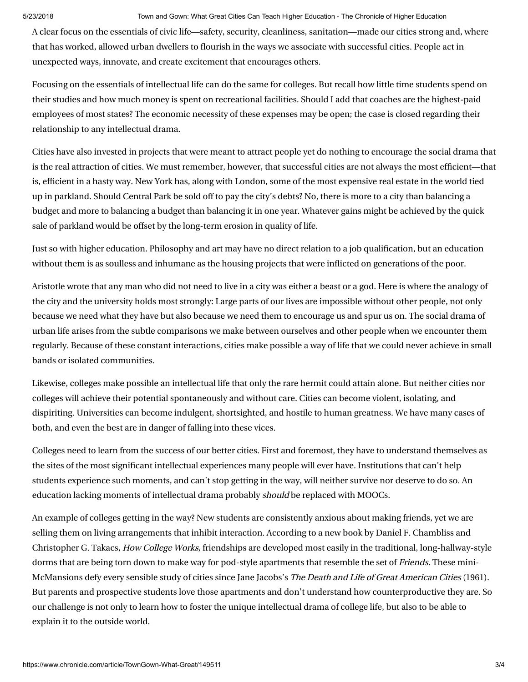### 5/23/2018 Town and Gown: What Great Cities Can Teach Higher Education - The Chronicle of Higher Education

A clear focus on the essentials of civic life—safety, security, cleanliness, sanitation—made our cities strong and, where that has worked, allowed urban dwellers to flourish in the ways we associate with successful cities. People act in unexpected ways, innovate, and create excitement that encourages others.

Focusing on the essentials of intellectual life can do the same for colleges. But recall how little time students spend on [their studies and how much money is spent on recreational facilities. Should I add that coaches are the highest-paid](http://chronicle.com/blogs/players/is-your-states-highest-paid-employee-a-coach-probably-deadspin-finds/32983) employees of most states? The economic necessity of these expenses may be open; the case is closed regarding their relationship to any intellectual drama.

Cities have also invested in projects that were meant to attract people yet do nothing to encourage the social drama that is the real attraction of cities. We must remember, however, that successful cities are not always the most efficient—that is, efficient in a hasty way. New York has, along with London, some of the most expensive real estate in the world tied up in parkland. Should Central Park be sold off to pay the city's debts? No, there is more to a city than balancing a budget and more to balancing a budget than balancing it in one year. Whatever gains might be achieved by the quick sale of parkland would be offset by the long-term erosion in quality of life.

Just so with higher education. Philosophy and art may have no direct relation to a job qualification, but an education without them is as soulless and inhumane as the housing projects that were inflicted on generations of the poor.

Aristotle wrote that any man who did not need to live in a city was either a beast or a god. Here is where the analogy of the city and the university holds most strongly: Large parts of our lives are impossible without other people, not only because we need what they have but also because we need them to encourage us and spur us on. The social drama of urban life arises from the subtle comparisons we make between ourselves and other people when we encounter them regularly. Because of these constant interactions, cities make possible a way of life that we could never achieve in small bands or isolated communities.

Likewise, colleges make possible an intellectual life that only the rare hermit could attain alone. But neither cities nor colleges will achieve their potential spontaneously and without care. Cities can become violent, isolating, and dispiriting. Universities can become indulgent, shortsighted, and hostile to human greatness. We have many cases of both, and even the best are in danger of falling into these vices.

Colleges need to learn from the success of our better cities. First and foremost, they have to understand themselves as the sites of the most significant intellectual experiences many people will ever have. Institutions that can't help students experience such moments, and can't stop getting in the way, will neither survive nor deserve to do so. An education lacking moments of intellectual drama probably should be replaced with MOOCs.

An example of colleges getting in the way? New students are consistently anxious about making friends, yet we are selling them on living arrangements that inhibit interaction. According to a new book by Daniel F. Chambliss and Christopher G. Takacs, How College Works, friendships are developed most easily in the traditional, long-hallway-style dorms that are being torn down to make way for pod-style apartments that resemble the set of *Friends*. These mini-McMansions defy every sensible study of cities since Jane Jacobs's The Death and Life of Great American Cities (1961). But parents and prospective students love those apartments and don't understand how counterproductive they are. So our challenge is not only to learn how to foster the unique intellectual drama of college life, but also to be able to explain it to the outside world.